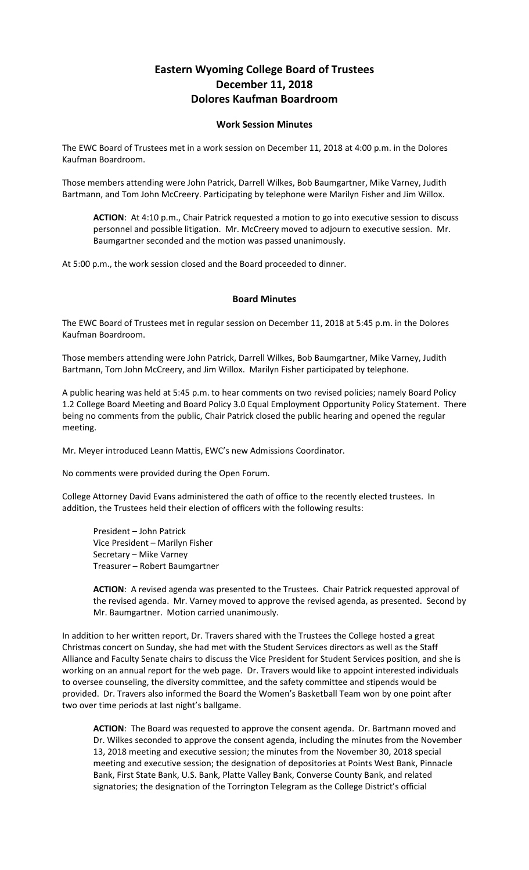## **Eastern Wyoming College Board of Trustees December 11, 2018 Dolores Kaufman Boardroom**

## **Work Session Minutes**

The EWC Board of Trustees met in a work session on December 11, 2018 at 4:00 p.m. in the Dolores Kaufman Boardroom.

Those members attending were John Patrick, Darrell Wilkes, Bob Baumgartner, Mike Varney, Judith Bartmann, and Tom John McCreery. Participating by telephone were Marilyn Fisher and Jim Willox.

**ACTION**: At 4:10 p.m., Chair Patrick requested a motion to go into executive session to discuss personnel and possible litigation. Mr. McCreery moved to adjourn to executive session. Mr. Baumgartner seconded and the motion was passed unanimously.

At 5:00 p.m., the work session closed and the Board proceeded to dinner.

## **Board Minutes**

The EWC Board of Trustees met in regular session on December 11, 2018 at 5:45 p.m. in the Dolores Kaufman Boardroom.

Those members attending were John Patrick, Darrell Wilkes, Bob Baumgartner, Mike Varney, Judith Bartmann, Tom John McCreery, and Jim Willox. Marilyn Fisher participated by telephone.

A public hearing was held at 5:45 p.m. to hear comments on two revised policies; namely Board Policy 1.2 College Board Meeting and Board Policy 3.0 Equal Employment Opportunity Policy Statement. There being no comments from the public, Chair Patrick closed the public hearing and opened the regular meeting.

Mr. Meyer introduced Leann Mattis, EWC's new Admissions Coordinator.

No comments were provided during the Open Forum.

College Attorney David Evans administered the oath of office to the recently elected trustees. In addition, the Trustees held their election of officers with the following results:

President – John Patrick Vice President – Marilyn Fisher Secretary – Mike Varney Treasurer – Robert Baumgartner

**ACTION**: A revised agenda was presented to the Trustees. Chair Patrick requested approval of the revised agenda. Mr. Varney moved to approve the revised agenda, as presented. Second by Mr. Baumgartner. Motion carried unanimously.

In addition to her written report, Dr. Travers shared with the Trustees the College hosted a great Christmas concert on Sunday, she had met with the Student Services directors as well as the Staff Alliance and Faculty Senate chairs to discuss the Vice President for Student Services position, and she is working on an annual report for the web page. Dr. Travers would like to appoint interested individuals to oversee counseling, the diversity committee, and the safety committee and stipends would be provided. Dr. Travers also informed the Board the Women's Basketball Team won by one point after two over time periods at last night's ballgame.

**ACTION**: The Board was requested to approve the consent agenda. Dr. Bartmann moved and Dr. Wilkes seconded to approve the consent agenda, including the minutes from the November 13, 2018 meeting and executive session; the minutes from the November 30, 2018 special meeting and executive session; the designation of depositories at Points West Bank, Pinnacle Bank, First State Bank, U.S. Bank, Platte Valley Bank, Converse County Bank, and related signatories; the designation of the Torrington Telegram as the College District's official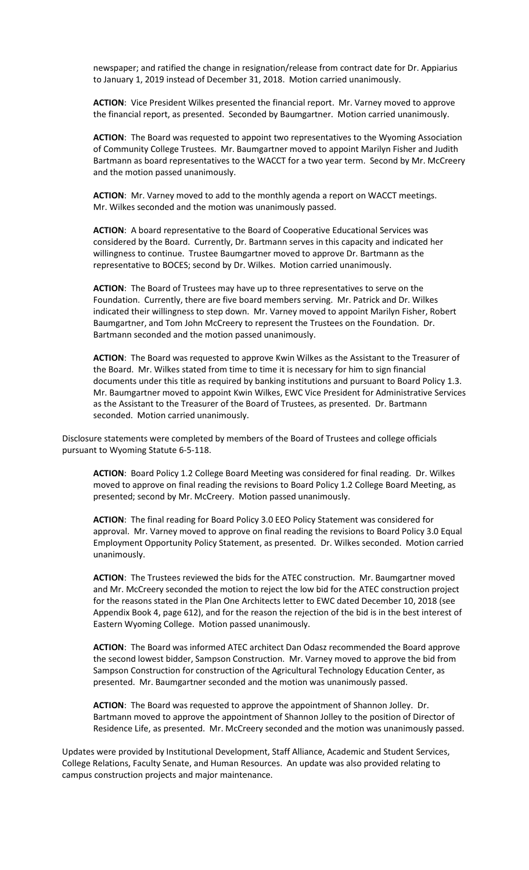newspaper; and ratified the change in resignation/release from contract date for Dr. Appiarius to January 1, 2019 instead of December 31, 2018. Motion carried unanimously.

**ACTION**: Vice President Wilkes presented the financial report. Mr. Varney moved to approve the financial report, as presented. Seconded by Baumgartner. Motion carried unanimously.

**ACTION**: The Board was requested to appoint two representatives to the Wyoming Association of Community College Trustees. Mr. Baumgartner moved to appoint Marilyn Fisher and Judith Bartmann as board representatives to the WACCT for a two year term. Second by Mr. McCreery and the motion passed unanimously.

**ACTION**: Mr. Varney moved to add to the monthly agenda a report on WACCT meetings. Mr. Wilkes seconded and the motion was unanimously passed.

**ACTION**: A board representative to the Board of Cooperative Educational Services was considered by the Board. Currently, Dr. Bartmann serves in this capacity and indicated her willingness to continue. Trustee Baumgartner moved to approve Dr. Bartmann as the representative to BOCES; second by Dr. Wilkes. Motion carried unanimously.

**ACTION**: The Board of Trustees may have up to three representatives to serve on the Foundation. Currently, there are five board members serving. Mr. Patrick and Dr. Wilkes indicated their willingness to step down. Mr. Varney moved to appoint Marilyn Fisher, Robert Baumgartner, and Tom John McCreery to represent the Trustees on the Foundation. Dr. Bartmann seconded and the motion passed unanimously.

**ACTION**: The Board was requested to approve Kwin Wilkes as the Assistant to the Treasurer of the Board. Mr. Wilkes stated from time to time it is necessary for him to sign financial documents under this title as required by banking institutions and pursuant to Board Policy 1.3. Mr. Baumgartner moved to appoint Kwin Wilkes, EWC Vice President for Administrative Services as the Assistant to the Treasurer of the Board of Trustees, as presented. Dr. Bartmann seconded. Motion carried unanimously.

Disclosure statements were completed by members of the Board of Trustees and college officials pursuant to Wyoming Statute 6-5-118.

**ACTION**: Board Policy 1.2 College Board Meeting was considered for final reading. Dr. Wilkes moved to approve on final reading the revisions to Board Policy 1.2 College Board Meeting, as presented; second by Mr. McCreery. Motion passed unanimously.

**ACTION**: The final reading for Board Policy 3.0 EEO Policy Statement was considered for approval. Mr. Varney moved to approve on final reading the revisions to Board Policy 3.0 Equal Employment Opportunity Policy Statement, as presented. Dr. Wilkes seconded. Motion carried unanimously.

**ACTION**: The Trustees reviewed the bids for the ATEC construction. Mr. Baumgartner moved and Mr. McCreery seconded the motion to reject the low bid for the ATEC construction project for the reasons stated in the Plan One Architects letter to EWC dated December 10, 2018 (see Appendix Book 4, page 612), and for the reason the rejection of the bid is in the best interest of Eastern Wyoming College. Motion passed unanimously.

**ACTION**: The Board was informed ATEC architect Dan Odasz recommended the Board approve the second lowest bidder, Sampson Construction. Mr. Varney moved to approve the bid from Sampson Construction for construction of the Agricultural Technology Education Center, as presented. Mr. Baumgartner seconded and the motion was unanimously passed.

**ACTION**: The Board was requested to approve the appointment of Shannon Jolley. Dr. Bartmann moved to approve the appointment of Shannon Jolley to the position of Director of Residence Life, as presented. Mr. McCreery seconded and the motion was unanimously passed.

Updates were provided by Institutional Development, Staff Alliance, Academic and Student Services, College Relations, Faculty Senate, and Human Resources. An update was also provided relating to campus construction projects and major maintenance.